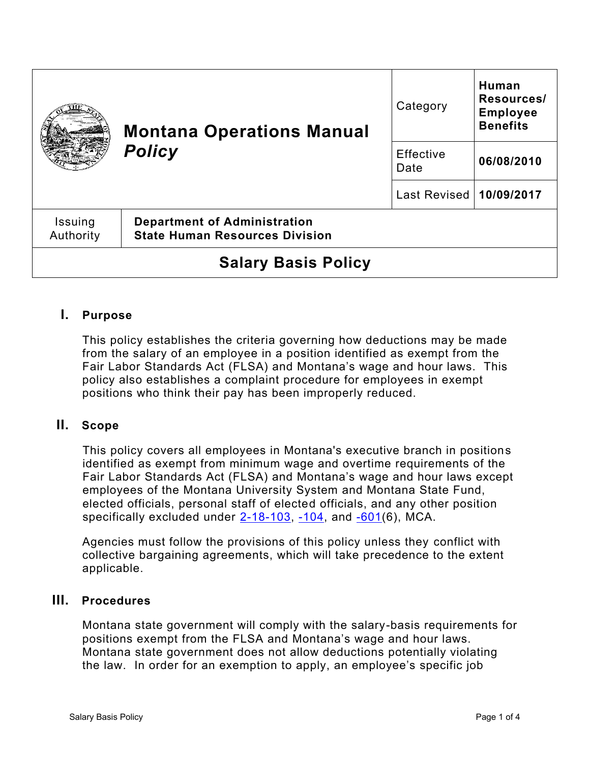|                            | <b>Montana Operations Manual</b><br><b>Policy</b>                            | Category                | Human<br>Resources/<br><b>Employee</b><br><b>Benefits</b> |
|----------------------------|------------------------------------------------------------------------------|-------------------------|-----------------------------------------------------------|
|                            |                                                                              | Effective<br>Date       | 06/08/2010                                                |
|                            |                                                                              | Last Revised 10/09/2017 |                                                           |
| Issuing<br>Authority       | <b>Department of Administration</b><br><b>State Human Resources Division</b> |                         |                                                           |
| <b>Salary Basis Policy</b> |                                                                              |                         |                                                           |

## **I. Purpose**

This policy establishes the criteria governing how deductions may be made from the salary of an employee in a position identified as exempt from the Fair Labor Standards Act (FLSA) and Montana's wage and hour laws. This policy also establishes a complaint procedure for employees in exempt positions who think their pay has been improperly reduced.

#### **II. Scope**

This policy covers all employees in Montana's executive branch in positions identified as exempt from minimum wage and overtime requirements of the Fair Labor Standards Act (FLSA) and Montana's wage and hour laws except employees of the Montana University System and Montana State Fund, elected officials, personal staff of elected officials, and any other position specifically excluded under  $2-18-103$ ,  $-104$ , and  $-601(6)$ , MCA.

Agencies must follow the provisions of this policy unless they conflict with collective bargaining agreements, which will take precedence to the extent applicable.

### **III. Procedures**

Montana state government will comply with the salary-basis requirements for positions exempt from the FLSA and Montana's wage and hour laws. Montana state government does not allow deductions potentially violating the law. In order for an exemption to apply, an employee's specific job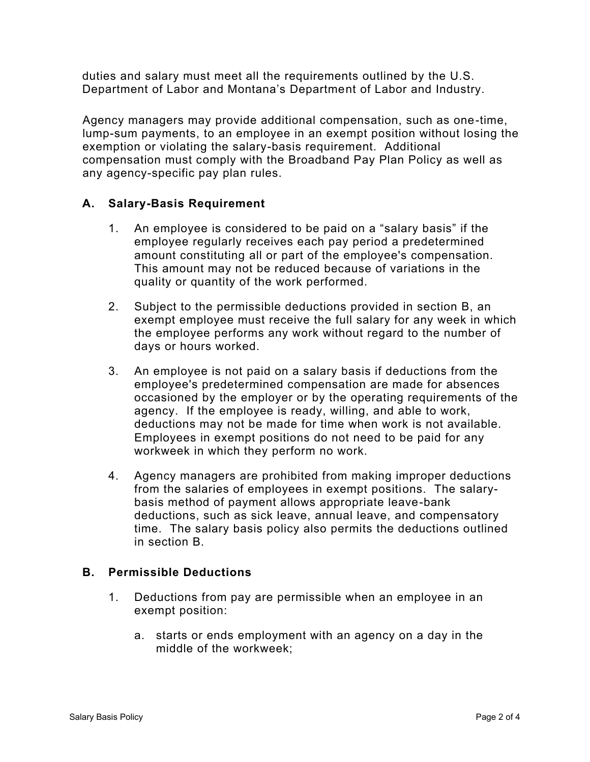duties and salary must meet all the requirements outlined by the U.S. Department of Labor and Montana's Department of Labor and Industry.

Agency managers may provide additional compensation, such as one-time, lump-sum payments, to an employee in an exempt position without losing the exemption or violating the salary-basis requirement. Additional compensation must comply with the Broadband Pay Plan Policy as well as any agency-specific pay plan rules.

### **A. Salary-Basis Requirement**

- 1. An employee is considered to be paid on a "salary basis" if the employee regularly receives each pay period a predetermined amount constituting all or part of the employee's compensation. This amount may not be reduced because of variations in the quality or quantity of the work performed.
- 2. Subject to the permissible deductions provided in section B, an exempt employee must receive the full salary for any week in which the employee performs any work without regard to the number of days or hours worked.
- 3. An employee is not paid on a salary basis if deductions from the employee's predetermined compensation are made for absences occasioned by the employer or by the operating requirements of the agency. If the employee is ready, willing, and able to work, deductions may not be made for time when work is not available. Employees in exempt positions do not need to be paid for any workweek in which they perform no work.
- 4. Agency managers are prohibited from making improper deductions from the salaries of employees in exempt positions. The salarybasis method of payment allows appropriate leave-bank deductions, such as sick leave, annual leave, and compensatory time. The salary basis policy also permits the deductions outlined in section B.

#### **B. Permissible Deductions**

- 1. Deductions from pay are permissible when an employee in an exempt position:
	- a. starts or ends employment with an agency on a day in the middle of the workweek;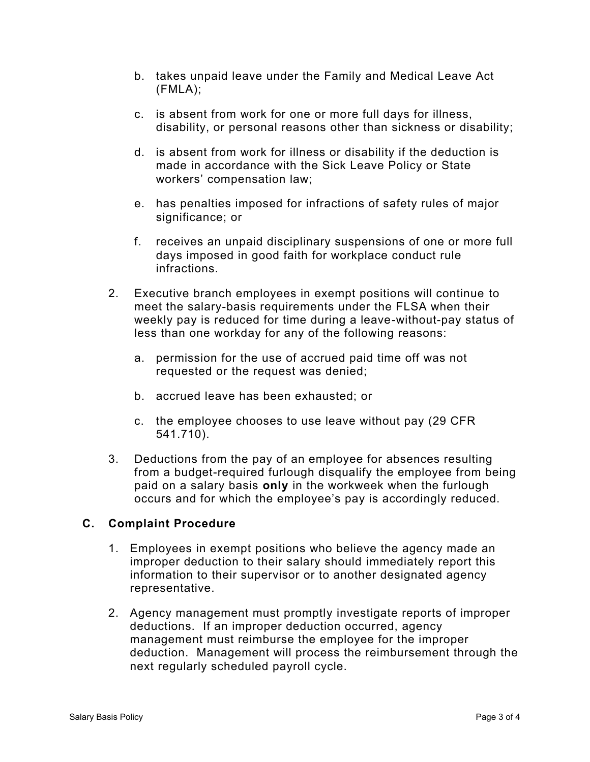- b. takes unpaid leave under the Family and Medical Leave Act (FMLA);
- c. is absent from work for one or more full days for illness, disability, or personal reasons other than sickness or disability;
- d. is absent from work for illness or disability if the deduction is made in accordance with the Sick Leave Policy or State workers' compensation law;
- e. has penalties imposed for infractions of safety rules of major significance; or
- f. receives an unpaid disciplinary suspensions of one or more full days imposed in good faith for workplace conduct rule infractions.
- 2. Executive branch employees in exempt positions will continue to meet the salary-basis requirements under the FLSA when their weekly pay is reduced for time during a leave-without-pay status of less than one workday for any of the following reasons:
	- a. permission for the use of accrued paid time off was not requested or the request was denied;
	- b. accrued leave has been exhausted; or
	- c. the employee chooses to use leave without pay (29 CFR 541.710).
- 3. Deductions from the pay of an employee for absences resulting from a budget-required furlough disqualify the employee from being paid on a salary basis **only** in the workweek when the furlough occurs and for which the employee's pay is accordingly reduced.

### **C. Complaint Procedure**

- 1. Employees in exempt positions who believe the agency made an improper deduction to their salary should immediately report this information to their supervisor or to another designated agency representative.
- 2. Agency management must promptly investigate reports of improper deductions. If an improper deduction occurred, agency management must reimburse the employee for the improper deduction. Management will process the reimbursement through the next regularly scheduled payroll cycle.